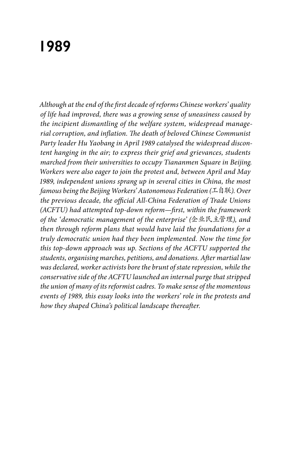# **1989**

*Although at the end of the first decade of reforms Chinese workers' quality of life had improved, there was a growing sense of uneasiness caused by the incipient dismantling of the welfare system, widespread managerial corruption, and inflation. The death of beloved Chinese Communist Party leader Hu Yaobang in April 1989 catalysed the widespread discontent hanging in the air; to express their grief and grievances, students marched from their universities to occupy Tiananmen Square in Beijing. Workers were also eager to join the protest and, between April and May 1989, independent unions sprang up in several cities in China, the most famous being the Beijing Workers' Autonomous Federation (*工自联*). Over the previous decade, the official All-China Federation of Trade Unions (ACFTU) had attempted top-down reform—first, within the framework of the 'democratic management of the enterprise' (*企业民主管理*), and then through reform plans that would have laid the foundations for a truly democratic union had they been implemented. Now the time for this top-down approach was up. Sections of the ACFTU supported the students, organising marches, petitions, and donations. After martial law was declared, worker activists bore the brunt of state repression, while the conservative side of the ACFTU launched an internal purge that stripped the union of many of its reformist cadres. To make sense of the momentous events of 1989, this essay looks into the workers' role in the protests and how they shaped China's political landscape thereafter.*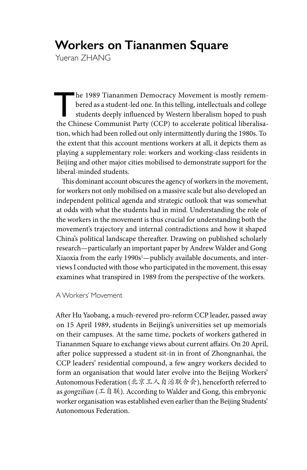# **Workers on Tiananmen Square**

Yueran ZHANG

The 1989 Tiananmen Democracy Movement is mostly remem-<br>bered as a student-led one. In this telling, intellectuals and college<br>students deeply influenced by Western liberalism hoped to push<br>the Chinese Communist Perty (CCP) bered as a student-led one. In this telling, intellectuals and college the Chinese Communist Party (CCP) to accelerate political liberalisation, which had been rolled out only intermittently during the 1980s. To the extent that this account mentions workers at all, it depicts them as playing a supplementary role: workers and working-class residents in Beijing and other major cities mobilised to demonstrate support for the liberal-minded students.

This dominant account obscures the agency of workers in the movement, for workers not only mobilised on a massive scale but also developed an independent political agenda and strategic outlook that was somewhat at odds with what the students had in mind. Understanding the role of the workers in the movement is thus crucial for understanding both the movement's trajectory and internal contradictions and how it shaped China's political landscape thereafter. Drawing on published scholarly research—particularly an important paper by Andrew Walder and Gong Xiaoxia from the early 1990s<sup>1</sup>—publicly available documents, and interviews I conducted with those who participated in the movement, this essay examines what transpired in 1989 from the perspective of the workers.

## A Workers' Movement

After Hu Yaobang, a much-revered pro-reform CCP leader, passed away on 15 April 1989, students in Beijing's universities set up memorials on their campuses. At the same time, pockets of workers gathered in Tiananmen Square to exchange views about current affairs. On 20 April, after police suppressed a student sit-in in front of Zhongnanhai, the CCP leaders' residential compound, a few angry workers decided to form an organisation that would later evolve into the Beijing Workers' Autonomous Federation (北京工人自治联合会), henceforth referred to as *gongzilian* (工自联). According to Walder and Gong, this embryonic worker organisation was established even earlier than the Beijing Students' Autonomous Federation.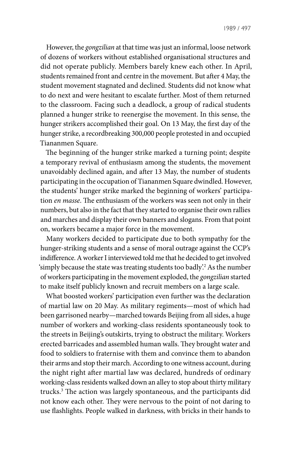1989 / 497

However, the *gongzilian* at that time was just an informal, loose network of dozens of workers without established organisational structures and did not operate publicly. Members barely knew each other. In April, students remained front and centre in the movement. But after 4 May, the student movement stagnated and declined. Students did not know what to do next and were hesitant to escalate further. Most of them returned to the classroom. Facing such a deadlock, a group of radical students planned a hunger strike to reenergise the movement. In this sense, the hunger strikers accomplished their goal. On 13 May, the first day of the hunger strike, a recordbreaking 300,000 people protested in and occupied Tiananmen Square.

The beginning of the hunger strike marked a turning point; despite a temporary revival of enthusiasm among the students, the movement unavoidably declined again, and after 13 May, the number of students participating in the occupation of Tiananmen Square dwindled. However, the students' hunger strike marked the beginning of workers' participation *en masse*. The enthusiasm of the workers was seen not only in their numbers, but also in the fact that they started to organise their own rallies and marches and display their own banners and slogans. From that point on, workers became a major force in the movement.

Many workers decided to participate due to both sympathy for the hunger-striking students and a sense of moral outrage against the CCP's indifference. A worker I interviewed told me that he decided to get involved 'simply because the state was treating students too badly'.2 As the number of workers participating in the movement exploded, the *gongzilian* started to make itself publicly known and recruit members on a large scale.

What boosted workers' participation even further was the declaration of martial law on 20 May. As military regiments—most of which had been garrisoned nearby—marched towards Beijing from all sides, a huge number of workers and working-class residents spontaneously took to the streets in Beijing's outskirts, trying to obstruct the military. Workers erected barricades and assembled human walls. They brought water and food to soldiers to fraternise with them and convince them to abandon their arms and stop their march. According to one witness account, during the night right after martial law was declared, hundreds of ordinary working-class residents walked down an alley to stop about thirty military trucks.3 The action was largely spontaneous, and the participants did not know each other. They were nervous to the point of not daring to use flashlights. People walked in darkness, with bricks in their hands to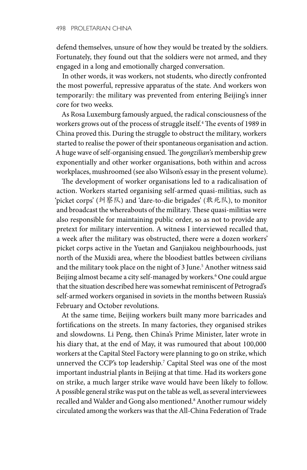defend themselves, unsure of how they would be treated by the soldiers. Fortunately, they found out that the soldiers were not armed, and they engaged in a long and emotionally charged conversation.

In other words, it was workers, not students, who directly confronted the most powerful, repressive apparatus of the state. And workers won temporarily: the military was prevented from entering Beijing's inner core for two weeks.

As Rosa Luxemburg famously argued, the radical consciousness of the workers grows out of the process of struggle itself.4 The events of 1989 in China proved this. During the struggle to obstruct the military, workers started to realise the power of their spontaneous organisation and action. A huge wave of self-organising ensued. The *gongzilian*'s membership grew exponentially and other worker organisations, both within and across workplaces, mushroomed (see also Wilson's essay in the present volume).

The development of worker organisations led to a radicalisation of action. Workers started organising self-armed quasi-militias, such as 'picket corps' (纠察队) and 'dare-to-die brigades' (敢死队), to monitor and broadcast the whereabouts of the military. These quasi-militias were also responsible for maintaining public order, so as not to provide any pretext for military intervention. A witness I interviewed recalled that, a week after the military was obstructed, there were a dozen workers' picket corps active in the Yuetan and Ganjiakou neighbourhoods, just north of the Muxidi area, where the bloodiest battles between civilians and the military took place on the night of 3 June.<sup>5</sup> Another witness said Beijing almost became a city self-managed by workers.<sup>6</sup> One could argue that the situation described here was somewhat reminiscent of Petrograd's self-armed workers organised in soviets in the months between Russia's February and October revolutions.

At the same time, Beijing workers built many more barricades and fortifications on the streets. In many factories, they organised strikes and slowdowns. Li Peng, then China's Prime Minister, later wrote in his diary that, at the end of May, it was rumoured that about 100,000 workers at the Capital Steel Factory were planning to go on strike, which unnerved the CCP's top leadership.7 Capital Steel was one of the most important industrial plants in Beijing at that time. Had its workers gone on strike, a much larger strike wave would have been likely to follow. A possible general strike was put on the table as well, as several interviewees recalled and Walder and Gong also mentioned.<sup>8</sup> Another rumour widely circulated among the workers was that the All-China Federation of Trade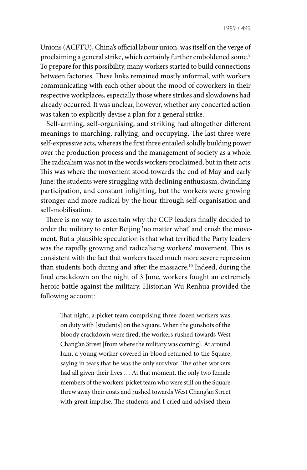Unions (ACFTU), China's official labour union, was itself on the verge of proclaiming a general strike, which certainly further emboldened some.<sup>9</sup> To prepare for this possibility, many workers started to build connections between factories. These links remained mostly informal, with workers communicating with each other about the mood of coworkers in their respective workplaces, especially those where strikes and slowdowns had already occurred. It was unclear, however, whether any concerted action was taken to explicitly devise a plan for a general strike.

Self-arming, self-organising, and striking had altogether different meanings to marching, rallying, and occupying. The last three were self-expressive acts, whereas the first three entailed solidly building power over the production process and the management of society as a whole. The radicalism was not in the words workers proclaimed, but in their acts. This was where the movement stood towards the end of May and early June: the students were struggling with declining enthusiasm, dwindling participation, and constant infighting, but the workers were growing stronger and more radical by the hour through self-organisation and self-mobilisation.

There is no way to ascertain why the CCP leaders finally decided to order the military to enter Beijing 'no matter what' and crush the movement. But a plausible speculation is that what terrified the Party leaders was the rapidly growing and radicalising workers' movement. This is consistent with the fact that workers faced much more severe repression than students both during and after the massacre.<sup>10</sup> Indeed, during the final crackdown on the night of 3 June, workers fought an extremely heroic battle against the military. Historian Wu Renhua provided the following account:

That night, a picket team comprising three dozen workers was on duty with [students] on the Square. When the gunshots of the bloody crackdown were fired, the workers rushed towards West Chang'an Street [from where the military was coming]. At around 1am, a young worker covered in blood returned to the Square, saying in tears that he was the only survivor. The other workers had all given their lives … At that moment, the only two female members of the workers' picket team who were still on the Square threw away their coats and rushed towards West Chang'an Street with great impulse. The students and I cried and advised them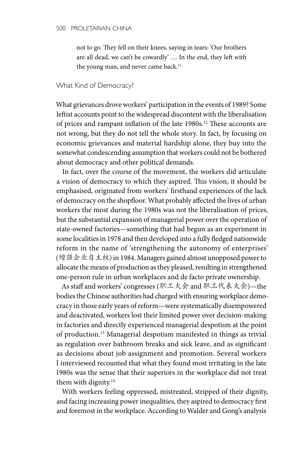not to go. They fell on their knees, saying in tears: 'Our brothers are all dead, we can't be cowardly' … In the end, they left with the young man, and never came back.<sup>11</sup>

#### What Kind of Democracy?

What grievances drove workers' participation in the events of 1989? Some leftist accounts point to the widespread discontent with the liberalisation of prices and rampant inflation of the late 1980s.12 These accounts are not wrong, but they do not tell the whole story. In fact, by focusing on economic grievances and material hardship alone, they buy into the somewhat condescending assumption that workers could not be bothered about democracy and other political demands.

In fact, over the course of the movement, the workers did articulate a vision of democracy to which they aspired. This vision, it should be emphasised, originated from workers' firsthand experiences of the lack of democracy on the shopfloor. What probably affected the lives of urban workers the most during the 1980s was not the liberalisation of prices, but the substantial expansion of managerial power over the operation of state-owned factories—something that had begun as an experiment in some localities in 1978 and then developed into a fully fledged nationwide reform in the name of 'strengthening the autonomy of enterprises' (增强企业自主权) in 1984. Managers gained almost unopposed power to allocate the means of production as they pleased, resulting in strengthened one-person rule in urban workplaces and de facto private ownership.

As staff and workers' congresses (职工大会 and 职工代表大会)—the bodies the Chinese authorities had charged with ensuring workplace democracy in those early years of reform—were systematically disempowered and deactivated, workers lost their limited power over decision-making in factories and directly experienced managerial despotism at the point of production.13 Managerial despotism manifested in things as trivial as regulation over bathroom breaks and sick leave, and as significant as decisions about job assignment and promotion. Several workers I interviewed recounted that what they found most irritating in the late 1980s was the sense that their superiors in the workplace did not treat them with dignity.<sup>14</sup>

With workers feeling oppressed, mistreated, stripped of their dignity, and facing increasing power inequalities, they aspired to democracy first and foremost in the workplace. According to Walder and Gong's analysis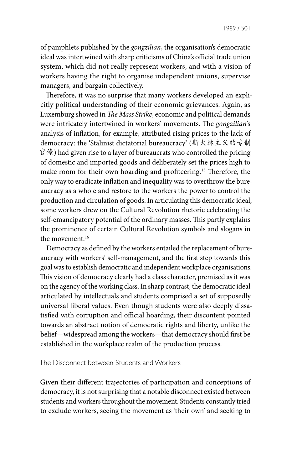of pamphlets published by the *gongzilian*, the organisation's democratic ideal was intertwined with sharp criticisms of China's official trade union system, which did not really represent workers, and with a vision of workers having the right to organise independent unions, supervise managers, and bargain collectively.

Therefore, it was no surprise that many workers developed an explicitly political understanding of their economic grievances. Again, as Luxemburg showed in *The Mass Strike*, economic and political demands were intricately intertwined in workers' movements. The *gongzilian*'s analysis of inflation, for example, attributed rising prices to the lack of democracy: the 'Stalinist dictatorial bureaucracy' (斯大林主义的专制 官僚) had given rise to a layer of bureaucrats who controlled the pricing of domestic and imported goods and deliberately set the prices high to make room for their own hoarding and profiteering.15 Therefore, the only way to eradicate inflation and inequality was to overthrow the bureaucracy as a whole and restore to the workers the power to control the production and circulation of goods. In articulating this democratic ideal, some workers drew on the Cultural Revolution rhetoric celebrating the self-emancipatory potential of the ordinary masses. This partly explains the prominence of certain Cultural Revolution symbols and slogans in the movement.<sup>16</sup>

Democracy as defined by the workers entailed the replacement of bureaucracy with workers' self-management, and the first step towards this goal was to establish democratic and independent workplace organisations. This vision of democracy clearly had a class character, premised as it was on the agency of the working class. In sharp contrast, the democratic ideal articulated by intellectuals and students comprised a set of supposedly universal liberal values. Even though students were also deeply dissatisfied with corruption and official hoarding, their discontent pointed towards an abstract notion of democratic rights and liberty, unlike the belief—widespread among the workers—that democracy should first be established in the workplace realm of the production process.

The Disconnect between Students and Workers

Given their different trajectories of participation and conceptions of democracy, it is not surprising that a notable disconnect existed between students and workers throughout the movement. Students constantly tried to exclude workers, seeing the movement as 'their own' and seeking to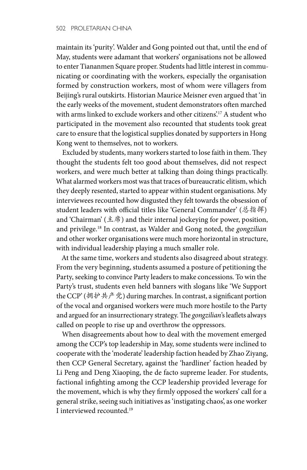maintain its 'purity'. Walder and Gong pointed out that, until the end of May, students were adamant that workers' organisations not be allowed to enter Tiananmen Square proper. Students had little interest in communicating or coordinating with the workers, especially the organisation formed by construction workers, most of whom were villagers from Beijing's rural outskirts. Historian Maurice Meisner even argued that 'in the early weeks of the movement, student demonstrators often marched with arms linked to exclude workers and other citizens'.17 A student who participated in the movement also recounted that students took great care to ensure that the logistical supplies donated by supporters in Hong Kong went to themselves, not to workers.

Excluded by students, many workers started to lose faith in them. They thought the students felt too good about themselves, did not respect workers, and were much better at talking than doing things practically. What alarmed workers most was that traces of bureaucratic elitism, which they deeply resented, started to appear within student organisations. My interviewees recounted how disgusted they felt towards the obsession of student leaders with official titles like 'General Commander' (总指挥) and 'Chairman' (主席) and their internal jockeying for power, position, and privilege.18 In contrast, as Walder and Gong noted, the *gongzilian* and other worker organisations were much more horizontal in structure, with individual leadership playing a much smaller role.

At the same time, workers and students also disagreed about strategy. From the very beginning, students assumed a posture of petitioning the Party, seeking to convince Party leaders to make concessions. To win the Party's trust, students even held banners with slogans like 'We Support the CCP' (拥护共产党) during marches. In contrast, a significant portion of the vocal and organised workers were much more hostile to the Party and argued for an insurrectionary strategy. The *gongzilian*'s leaflets always called on people to rise up and overthrow the oppressors.

When disagreements about how to deal with the movement emerged among the CCP's top leadership in May, some students were inclined to cooperate with the 'moderate' leadership faction headed by Zhao Ziyang, then CCP General Secretary, against the 'hardliner' faction headed by Li Peng and Deng Xiaoping, the de facto supreme leader. For students, factional infighting among the CCP leadership provided leverage for the movement, which is why they firmly opposed the workers' call for a general strike, seeing such initiatives as 'instigating chaos', as one worker I interviewed recounted.19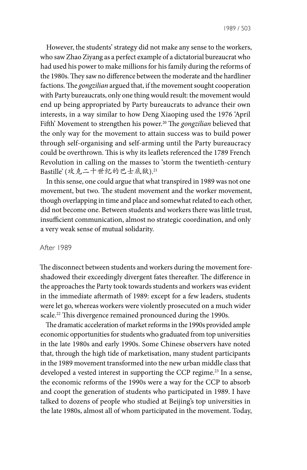However, the students' strategy did not make any sense to the workers, who saw Zhao Ziyang as a perfect example of a dictatorial bureaucrat who had used his power to make millions for his family during the reforms of the 1980s. They saw no difference between the moderate and the hardliner factions. The *gongzilian* argued that, if the movement sought cooperation with Party bureaucrats, only one thing would result: the movement would end up being appropriated by Party bureaucrats to advance their own interests, in a way similar to how Deng Xiaoping used the 1976 'April Fifth' Movement to strengthen his power.<sup>20</sup> The *gongzilian* believed that the only way for the movement to attain success was to build power through self-organising and self-arming until the Party bureaucracy could be overthrown. This is why its leaflets referenced the 1789 French Revolution in calling on the masses to 'storm the twentieth-century Bastille' (攻克二十世纪的巴士底狱).21

In this sense, one could argue that what transpired in 1989 was not one movement, but two. The student movement and the worker movement, though overlapping in time and place and somewhat related to each other, did not become one. Between students and workers there was little trust, insufficient communication, almost no strategic coordination, and only a very weak sense of mutual solidarity.

### After 1989

The disconnect between students and workers during the movement foreshadowed their exceedingly divergent fates thereafter. The difference in the approaches the Party took towards students and workers was evident in the immediate aftermath of 1989: except for a few leaders, students were let go, whereas workers were violently prosecuted on a much wider scale.<sup>22</sup> This divergence remained pronounced during the 1990s.

The dramatic acceleration of market reforms in the 1990s provided ample economic opportunities for students who graduated from top universities in the late 1980s and early 1990s. Some Chinese observers have noted that, through the high tide of marketisation, many student participants in the 1989 movement transformed into the new urban middle class that developed a vested interest in supporting the CCP regime.<sup>23</sup> In a sense, the economic reforms of the 1990s were a way for the CCP to absorb and coopt the generation of students who participated in 1989. I have talked to dozens of people who studied at Beijing's top universities in the late 1980s, almost all of whom participated in the movement. Today,